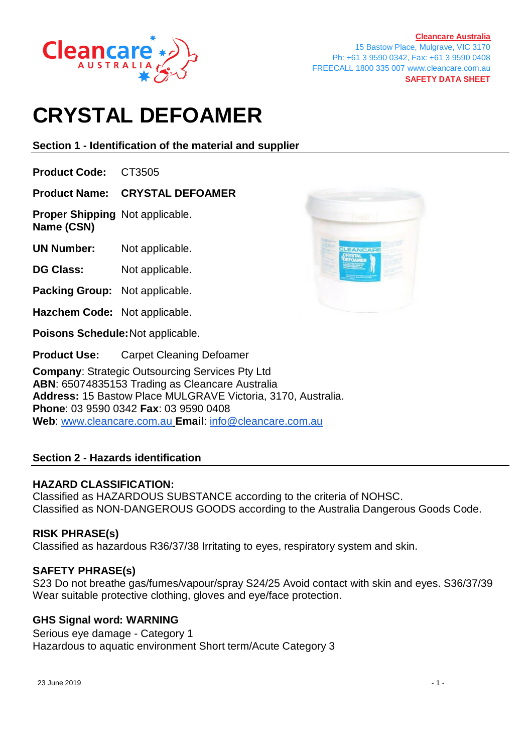

**[Cleancare Australia](https://www.cleancare.com.au/)** 15 Bastow Place, Mulgrave, VIC 3170 Ph: +61 3 9590 0342, Fax: +61 3 9590 0408 FREECALL 1800 335 007 www.cleancare.com.au **SAFETY DATA SHEET**

# **CRYSTAL DEFOAMER**

**Section 1 - Identification of the material and supplier**

**Product Code:** CT3505

**Product Name: CRYSTAL DEFOAMER**

**Proper Shipping** Not applicable. **Name (CSN)**

**UN Number:** Not applicable.

**DG Class:** Not applicable.

- **Packing Group:** Not applicable.
- **Hazchem Code:** Not applicable.

**Poisons Schedule:**Not applicable.

**Product Use:** Carpet Cleaning Defoamer

**Company**: Strategic Outsourcing Services Pty Ltd **ABN**: 65074835153 Trading as Cleancare Australia **Address:** 15 Bastow Place MULGRAVE Victoria, 3170, Australia. **Phone**: 03 9590 0342 **Fax**: 03 9590 0408 **Web**: [www.cleancare.com.au](http://www.cleancare.com.au/) **Email**: [info@cleancare.com.au](mailto:info@cleancare.com.au)

# **Section 2 - Hazards identification**

# **HAZARD CLASSIFICATION:**

Classified as HAZARDOUS SUBSTANCE according to the criteria of NOHSC. Classified as NON-DANGEROUS GOODS according to the Australia Dangerous Goods Code.

# **RISK PHRASE(s)**

Classified as hazardous R36/37/38 Irritating to eyes, respiratory system and skin.

# **SAFETY PHRASE(s)**

S23 Do not breathe gas/fumes/vapour/spray S24/25 Avoid contact with skin and eyes. S36/37/39 Wear suitable protective clothing, gloves and eye/face protection.

# **GHS Signal word: WARNING**

Serious eye damage - Category 1 Hazardous to aquatic environment Short term/Acute Category 3

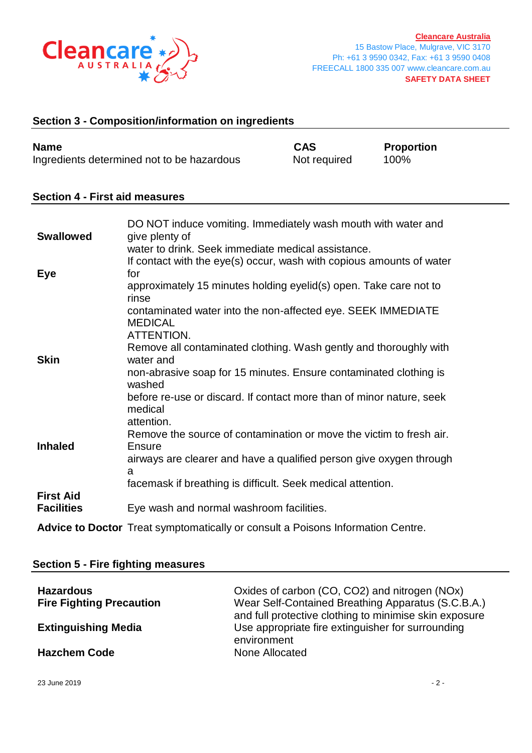

## **Section 3 - Composition/information on ingredients**

| <b>Name</b>                                | <b>CAS</b>   | <b>Proportion</b> |
|--------------------------------------------|--------------|-------------------|
| Ingredients determined not to be hazardous | Not required | 100%              |

#### **Section 4 - First aid measures**

| <b>Swallowed</b>                      | DO NOT induce vomiting. Immediately wash mouth with water and<br>give plenty of                                            |
|---------------------------------------|----------------------------------------------------------------------------------------------------------------------------|
|                                       | water to drink. Seek immediate medical assistance.<br>If contact with the eye(s) occur, wash with copious amounts of water |
| Eye                                   | for                                                                                                                        |
|                                       | approximately 15 minutes holding eyelid(s) open. Take care not to<br>rinse                                                 |
|                                       | contaminated water into the non-affected eye. SEEK IMMEDIATE<br><b>MEDICAL</b>                                             |
|                                       | ATTENTION.                                                                                                                 |
| <b>Skin</b>                           | Remove all contaminated clothing. Wash gently and thoroughly with<br>water and                                             |
|                                       | non-abrasive soap for 15 minutes. Ensure contaminated clothing is<br>washed                                                |
|                                       | before re-use or discard. If contact more than of minor nature, seek<br>medical<br>attention.                              |
| <b>Inhaled</b>                        | Remove the source of contamination or move the victim to fresh air.<br>Ensure                                              |
|                                       | airways are clearer and have a qualified person give oxygen through<br>a                                                   |
|                                       | facemask if breathing is difficult. Seek medical attention.                                                                |
| <b>First Aid</b><br><b>Facilities</b> | Eye wash and normal washroom facilities.                                                                                   |

**Advice to Doctor** Treat symptomatically or consult a Poisons Information Centre.

| <b>Section 5 - Fire fighting measures</b> |                                                                                                              |  |
|-------------------------------------------|--------------------------------------------------------------------------------------------------------------|--|
| <b>Hazardous</b>                          | Oxides of carbon (CO, CO2) and nitrogen (NOx)                                                                |  |
| <b>Fire Fighting Precaution</b>           | Wear Self-Contained Breathing Apparatus (S.C.B.A.)<br>and full protective clothing to minimise skin exposure |  |
| <b>Extinguishing Media</b>                | Use appropriate fire extinguisher for surrounding<br>environment                                             |  |
| <b>Hazchem Code</b>                       | None Allocated                                                                                               |  |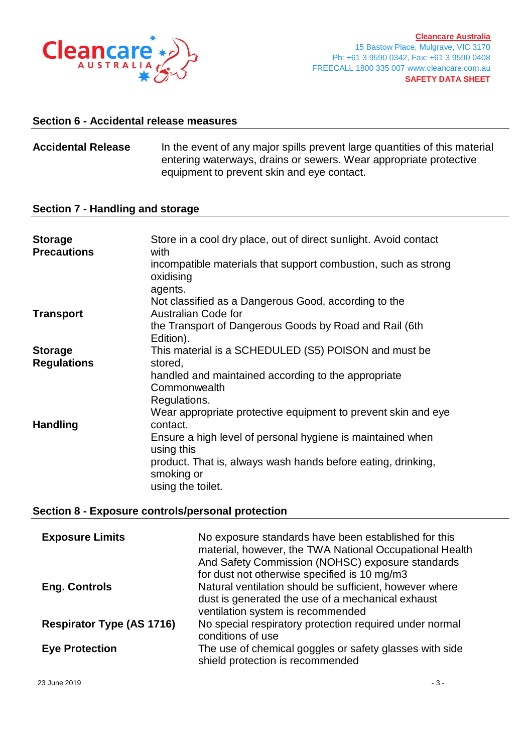

#### **Section 6 - Accidental release measures**

**Accidental Release** In the event of any major spills prevent large quantities of this material entering waterways, drains or sewers. Wear appropriate protective equipment to prevent skin and eye contact.

#### **Section 7 - Handling and storage**

| <b>Storage</b><br><b>Precautions</b> | Store in a cool dry place, out of direct sunlight. Avoid contact<br>with<br>incompatible materials that support combustion, such as strong<br>oxidising<br>agents. |
|--------------------------------------|--------------------------------------------------------------------------------------------------------------------------------------------------------------------|
|                                      | Not classified as a Dangerous Good, according to the                                                                                                               |
| <b>Transport</b>                     | <b>Australian Code for</b><br>the Transport of Dangerous Goods by Road and Rail (6th<br>Edition).                                                                  |
| <b>Storage</b>                       | This material is a SCHEDULED (S5) POISON and must be                                                                                                               |
| <b>Regulations</b>                   | stored,                                                                                                                                                            |
|                                      | handled and maintained according to the appropriate<br>Commonwealth                                                                                                |
|                                      | Regulations.                                                                                                                                                       |
| <b>Handling</b>                      | Wear appropriate protective equipment to prevent skin and eye<br>contact.                                                                                          |
|                                      | Ensure a high level of personal hygiene is maintained when<br>using this                                                                                           |
|                                      | product. That is, always wash hands before eating, drinking,<br>smoking or                                                                                         |
|                                      | using the toilet.                                                                                                                                                  |

## **Section 8 - Exposure controls/personal protection**

| <b>Exposure Limits</b>           | No exposure standards have been established for this<br>material, however, the TWA National Occupational Health<br>And Safety Commission (NOHSC) exposure standards<br>for dust not otherwise specified is 10 mg/m3 |
|----------------------------------|---------------------------------------------------------------------------------------------------------------------------------------------------------------------------------------------------------------------|
| <b>Eng. Controls</b>             | Natural ventilation should be sufficient, however where<br>dust is generated the use of a mechanical exhaust<br>ventilation system is recommended                                                                   |
| <b>Respirator Type (AS 1716)</b> | No special respiratory protection required under normal<br>conditions of use                                                                                                                                        |
| <b>Eye Protection</b>            | The use of chemical goggles or safety glasses with side<br>shield protection is recommended                                                                                                                         |

23 June 2019 - 3 -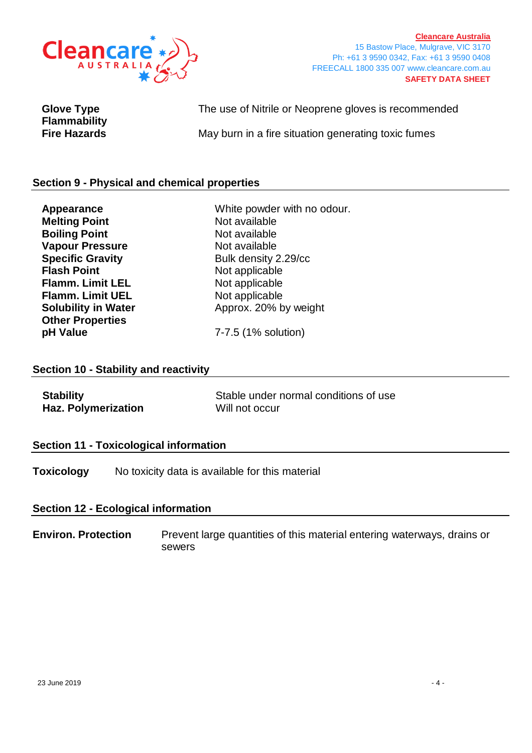

**[Cleancare Australia](https://www.cleancare.com.au/)** 15 Bastow Place, Mulgrave, VIC 3170 Ph: +61 3 9590 0342, Fax: +61 3 9590 0408 FREECALL 1800 335 007 www.cleancare.com.au **SAFETY DATA SHEET**

| <b>Glove Type</b>                          | The use of Nitrile or Neoprene gloves is recommended |
|--------------------------------------------|------------------------------------------------------|
| <b>Flammability</b><br><b>Fire Hazards</b> | May burn in a fire situation generating toxic fumes  |

## **Section 9 - Physical and chemical properties**

| Appearance                 | White powder with no odour. |
|----------------------------|-----------------------------|
| <b>Melting Point</b>       | Not available               |
| <b>Boiling Point</b>       | Not available               |
| <b>Vapour Pressure</b>     | Not available               |
| <b>Specific Gravity</b>    | Bulk density 2.29/cc        |
| <b>Flash Point</b>         | Not applicable              |
| <b>Flamm. Limit LEL</b>    | Not applicable              |
| <b>Flamm. Limit UEL</b>    | Not applicable              |
| <b>Solubility in Water</b> | Approx. 20% by weight       |
| <b>Other Properties</b>    |                             |
| pH Value                   | 7-7.5 (1% solution)         |

## **Section 10 - Stability and reactivity**

| <b>Stability</b>           | Stable under normal conditions of use |
|----------------------------|---------------------------------------|
| <b>Haz. Polymerization</b> | Will not occur                        |

#### **Section 11 - Toxicological information**

**Toxicology** No toxicity data is available for this material

# **Section 12 - Ecological information**

**Environ. Protection** Prevent large quantities of this material entering waterways, drains or sewers